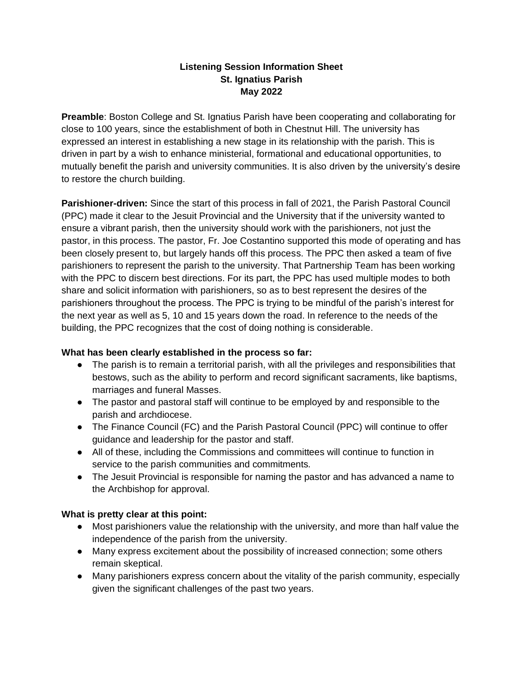### **Listening Session Information Sheet St. Ignatius Parish May 2022**

**Preamble**: Boston College and St. Ignatius Parish have been cooperating and collaborating for close to 100 years, since the establishment of both in Chestnut Hill. The university has expressed an interest in establishing a new stage in its relationship with the parish. This is driven in part by a wish to enhance ministerial, formational and educational opportunities, to mutually benefit the parish and university communities. It is also driven by the university's desire to restore the church building.

**Parishioner-driven:** Since the start of this process in fall of 2021, the Parish Pastoral Council (PPC) made it clear to the Jesuit Provincial and the University that if the university wanted to ensure a vibrant parish, then the university should work with the parishioners, not just the pastor, in this process. The pastor, Fr. Joe Costantino supported this mode of operating and has been closely present to, but largely hands off this process. The PPC then asked a team of five parishioners to represent the parish to the university. That Partnership Team has been working with the PPC to discern best directions. For its part, the PPC has used multiple modes to both share and solicit information with parishioners, so as to best represent the desires of the parishioners throughout the process. The PPC is trying to be mindful of the parish's interest for the next year as well as 5, 10 and 15 years down the road. In reference to the needs of the building, the PPC recognizes that the cost of doing nothing is considerable.

## **What has been clearly established in the process so far:**

- The parish is to remain a territorial parish, with all the privileges and responsibilities that bestows, such as the ability to perform and record significant sacraments, like baptisms, marriages and funeral Masses.
- The pastor and pastoral staff will continue to be employed by and responsible to the parish and archdiocese.
- The Finance Council (FC) and the Parish Pastoral Council (PPC) will continue to offer guidance and leadership for the pastor and staff.
- All of these, including the Commissions and committees will continue to function in service to the parish communities and commitments.
- The Jesuit Provincial is responsible for naming the pastor and has advanced a name to the Archbishop for approval.

## **What is pretty clear at this point:**

- Most parishioners value the relationship with the university, and more than half value the independence of the parish from the university.
- Many express excitement about the possibility of increased connection; some others remain skeptical.
- Many parishioners express concern about the vitality of the parish community, especially given the significant challenges of the past two years.